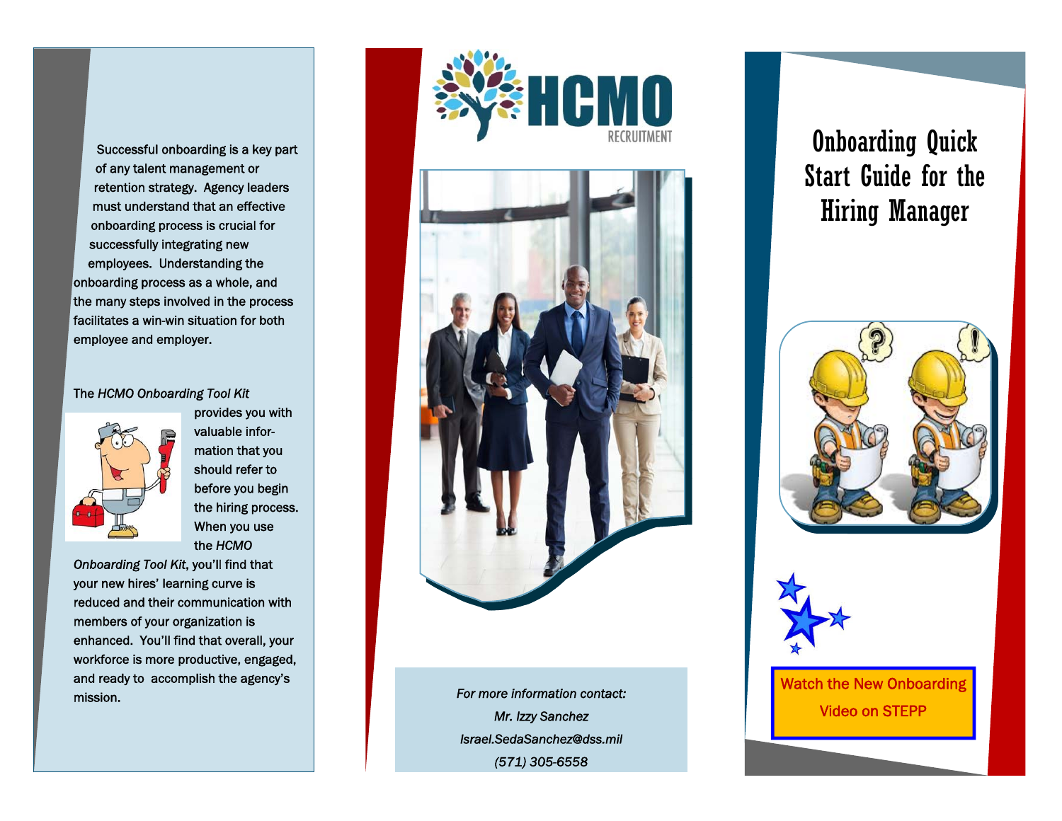Successful onboarding is a key part of any talent management or retention strategy. Agency leaders must understand that an effective onboarding process is crucial for successfully integrating new employees. Understanding the onboarding process as a whole, and the many steps involved in the process facilitates a win-win situation for both employee and employer.

#### The *HCMO Onboarding Tool Kit*



provides you with valuable information that you should refer to before you begin the hiring process. When you use the *HCMO* 

*Onboarding Tool Kit*, you'll find that your new hires' learning curve is reduced and their communication with members of your organization is enhanced. You'll find that overall, your workforce is more productive, engaged, and ready to accomplish the agency's mission.





*For more information contact: Mr. Izzy Sanchez Israel.SedaSanchez@dss.mil (571) 305-6558* 

# Onboarding Quick Start Guide for the Hiring Manager





Watch the New Onboarding Video on STEPP